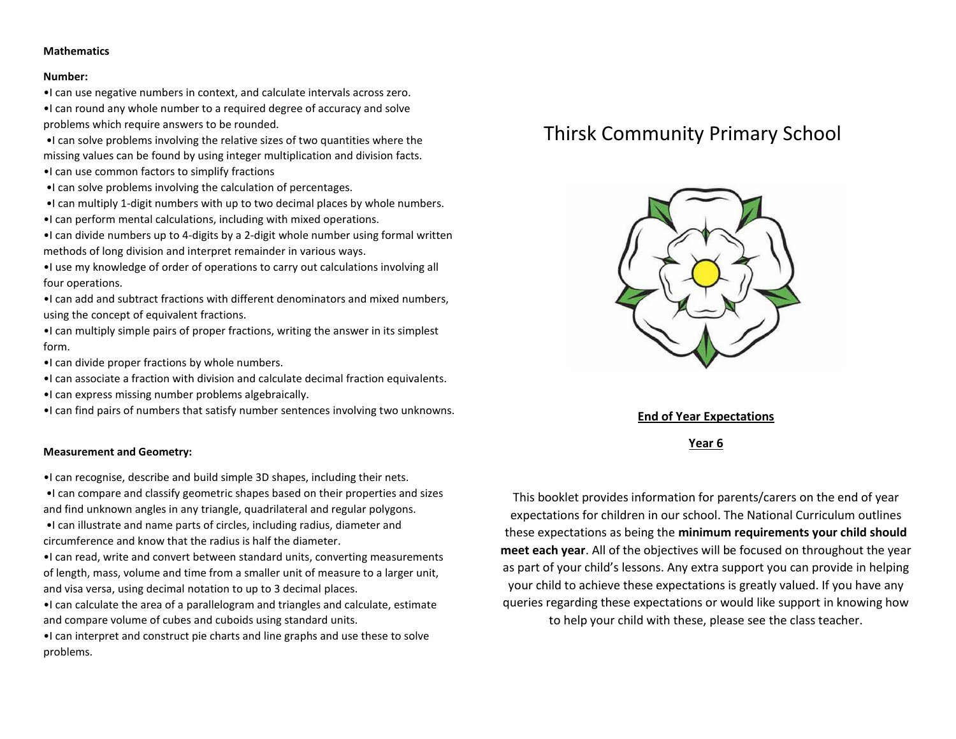#### **Mathematics**

#### **Number:**

•I can use negative numbers in context, and calculate intervals across zero.

•I can round any whole number to a required degree of accuracy and solve problems which require answers to be rounded.

•I can solve problems involving the relative sizes of two quantities where the missing values can be found by using integer multiplication and division facts.

- •I can use common factors to simplify fractions
- •I can solve problems involving the calculation of percentages.
- •I can multiply 1-digit numbers with up to two decimal places by whole numbers.
- •I can perform mental calculations, including with mixed operations.

•I can divide numbers up to 4-digits by a 2-digit whole number using formal written methods of long division and interpret remainder in various ways.

•I use my knowledge of order of operations to carry out calculations involving all four operations.

•I can add and subtract fractions with different denominators and mixed numbers, using the concept of equivalent fractions.

•I can multiply simple pairs of proper fractions, writing the answer in its simplest form.

- •I can divide proper fractions by whole numbers.
- •I can associate a fraction with division and calculate decimal fraction equivalents.
- •I can express missing number problems algebraically.

•I can find pairs of numbers that satisfy number sentences involving two unknowns.

#### **Measurement and Geometry:**

•I can recognise, describe and build simple 3D shapes, including their nets.

•I can compare and classify geometric shapes based on their properties and sizes and find unknown angles in any triangle, quadrilateral and regular polygons.

•I can illustrate and name parts of circles, including radius, diameter and circumference and know that the radius is half the diameter.

•I can read, write and convert between standard units, converting measurements of length, mass, volume and time from a smaller unit of measure to a larger unit, and visa versa, using decimal notation to up to 3 decimal places.

•I can calculate the area of a parallelogram and triangles and calculate, estimate and compare volume of cubes and cuboids using standard units.

•I can interpret and construct pie charts and line graphs and use these to solve problems.

# Thirsk Community Primary School



**End of Year Expectations**

**Year 6**

This booklet provides information for parents/carers on the end of year expectations for children in our school. The National Curriculum outlines these expectations as being the **minimum requirements your child should meet each year**. All of the objectives will be focused on throughout the year as part of your child's lessons. Any extra support you can provide in helping your child to achieve these expectations is greatly valued. If you have any queries regarding these expectations or would like support in knowing how to help your child with these, please see the class teacher.